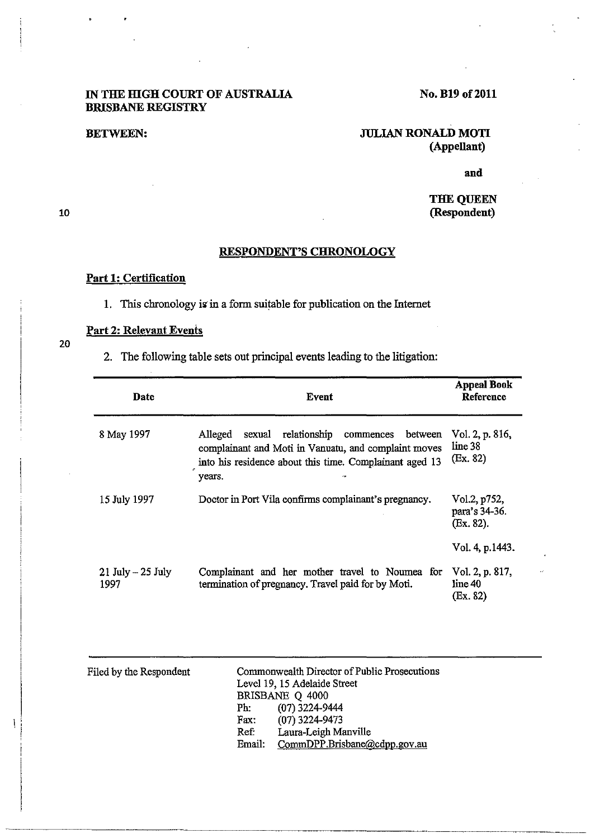#### IN THE mGH COURT OF AUSTRALIA BRISBANE REGISTRY

## No. B19 of 2011

#### BETWEEN:

## JULIAN RONALD MOTI (AppeUant)

and

### THE QUEEN (Respondent)

# RESPONDENT'S CHRONOLOGY

#### Part 1: Certification

1. This chronology is in a form suitable for publication on the Internet

# Part 2: Relevant Events

2. The following table sets out principal events leading to the litigation:

| <b>Date</b>                  | Event                                                                                                                                                                                       | <b>Appeal Book</b><br>Reference               |
|------------------------------|---------------------------------------------------------------------------------------------------------------------------------------------------------------------------------------------|-----------------------------------------------|
| 8 May 1997                   | relationship commences<br>Alleged<br>between<br>sexual<br>complainant and Moti in Vanuatu, and complaint moves<br>into his residence about this time. Complainant aged 13<br>years.<br>م، . | Vol. 2, p. 816,<br>line 38<br>$(E_{X.} 82)$   |
| 15 July 1997                 | Doctor in Port Vila confirms complainant's pregnancy.                                                                                                                                       | Vol.2, p752,<br>para's 34-36.<br>$(Ex. 82)$ . |
|                              |                                                                                                                                                                                             | Vol. 4, p.1443.                               |
| $21$ July $-25$ July<br>1997 | Complainant and her mother travel to Noumea for<br>termination of pregnancy. Travel paid for by Moti.                                                                                       | Vol. 2, p. 817,<br>line 40<br>$(E_{X.} 82)$   |

| Filed by the Respondent | Commonwealth Director of Public Prosecutions<br>Level 19, 15 Adelaide Street<br>BRISBANE Q 4000<br>$(07)$ 3224-9444<br>Ph:<br>$(07)$ 3224-9473<br>Fax:<br>Laura-Leigh Manville<br>Ref:<br>CommDPP.Brisbane@cdpp.gov.au<br>Email: |
|-------------------------|----------------------------------------------------------------------------------------------------------------------------------------------------------------------------------------------------------------------------------|
|-------------------------|----------------------------------------------------------------------------------------------------------------------------------------------------------------------------------------------------------------------------------|

~~~~~~-~~~-----~-----~----------- ---~-.

10

20

 $\mathbf{I}$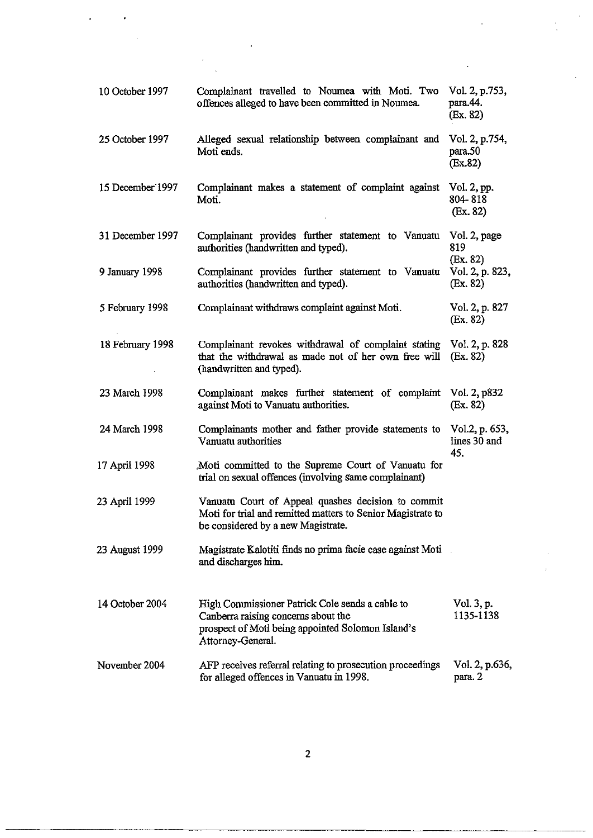| 10 October 1997  | Complainant travelled to Noumea with Moti. Two<br>offences alleged to have been committed in Noumea.                                                             | Vol. 2, p.753,<br>para.44.<br>(Ex. 82)  |
|------------------|------------------------------------------------------------------------------------------------------------------------------------------------------------------|-----------------------------------------|
| 25 October 1997  | Alleged sexual relationship between complainant and<br>Moti ends.                                                                                                | Vol. 2, p.754,<br>para.50<br>(Ex.82)    |
| 15 December 1997 | Complainant makes a statement of complaint against<br>Moti.                                                                                                      | Vol. 2, pp.<br>804-818<br>(Ex. 82)      |
| 31 December 1997 | Complainant provides further statement to Vanuatu Vol. 2, page<br>authorities (handwritten and typed).                                                           | 819                                     |
| 9 January 1998   | Complainant provides further statement to Vanuatu<br>authorities (handwritten and typed).                                                                        | (Ex. 82)<br>Vol. 2, p. 823,<br>(Ex. 82) |
| 5 February 1998  | Complainant withdraws complaint against Moti.                                                                                                                    | Vol. 2, p. 827<br>(Ex. 82)              |
| 18 February 1998 | Complainant revokes withdrawal of complaint stating Vol. 2, p. 828<br>that the withdrawal as made not of her own free will<br>(handwritten and typed).           | (Ex. 82)                                |
| 23 March 1998    | Complainant makes further statement of complaint Vol. 2, p832<br>against Moti to Vanuatu authorities.                                                            | (Ex. 82)                                |
| 24 March 1998    | Complainants mother and father provide statements to<br>Vanuatu authorities                                                                                      | Vol.2, p. 653,<br>lines 30 and<br>45.   |
| 17 April 1998    | Moti committed to the Supreme Court of Vanuatu for<br>trial on sexual offences (involving same complainant)                                                      |                                         |
| 23 April 1999    | Vanuatu Court of Appeal quashes decision to commit<br>Moti for trial and remitted matters to Senior Magistrate to<br>be considered by a new Magistrate.          |                                         |
| 23 August 1999   | Magistrate Kalotiti finds no prima facie case against Moti<br>and discharges him.                                                                                |                                         |
| 14 October 2004  | High Commissioner Patrick Cole sends a cable to<br>Canberra raising concerns about the<br>prospect of Moti being appointed Solomon Island's<br>Attorney-General. | Vol. 3, p.<br>1135-1138                 |
| November 2004    | AFP receives referral relating to prosecution proceedings<br>for alleged offences in Vanuatu in 1998.                                                            | Vol. 2, p.636,<br>para. 2               |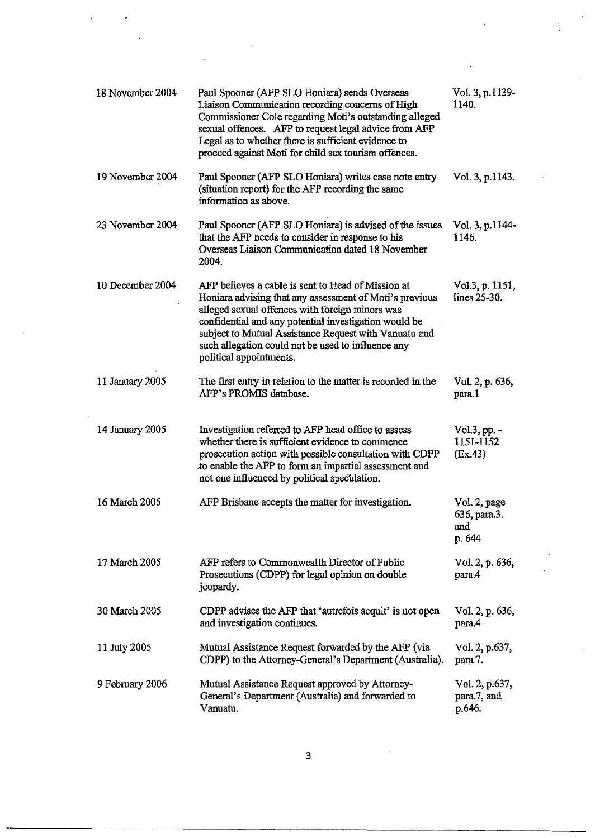| 18 November 2004 | Paul Spooner (AFP SLO Honiara) sends Overseas<br>Liaison Communication recording concerns of High<br>Commissioner Cole regarding Moti's outstanding alleged<br>sexual offences. AFP to request legal advice from AFP<br>Legal as to whether there is sufficient evidence to<br>proceed against Moti for child sex tourism offences.                                 | Vol. 3, p.1139-<br>1140.                      |
|------------------|---------------------------------------------------------------------------------------------------------------------------------------------------------------------------------------------------------------------------------------------------------------------------------------------------------------------------------------------------------------------|-----------------------------------------------|
| 19 November 2004 | Paul Spooner (AFP SLO Honiara) writes case note entry<br>(situation report) for the AFP recording the same<br>information as above.                                                                                                                                                                                                                                 | Vol. 3, p.1143.                               |
| 23 November 2004 | Paul Spooner (AFP SLO Honiara) is advised of the issues<br>that the AFP needs to consider in response to his<br>Overseas Liaison Communication dated 18 November<br>2004.                                                                                                                                                                                           | Vol. 3, p.1144-<br>1146.                      |
| 10 December 2004 | AFP believes a cable is sent to Head of Mission at<br>Honiara advising that any assessment of Moti's previous<br>alleged sexual offences with foreign minors was<br>confidential and any potential investigation would be<br>subject to Mutual Assistance Request with Vanuatu and<br>such allegation could not be used to influence any<br>political appointments. | Vol.3, p. 1151,<br>lines 25-30.               |
| 11 January 2005  | The first entry in relation to the matter is recorded in the<br>AFP's PROMIS database.                                                                                                                                                                                                                                                                              | Vol. 2, p. 636,<br>para.1                     |
| 14 January 2005  | Investigation referred to AFP head office to assess<br>whether there is sufficient evidence to commence<br>prosecution action with possible consultation with CDPP<br>to enable the AFP to form an impartial assessment and<br>not one influenced by political speculation.                                                                                         | $Vol.3$ , pp. $-$<br>1151-1152<br>(Ex.43)     |
| 16 March 2005    | AFP Brisbane accepts the matter for investigation.                                                                                                                                                                                                                                                                                                                  | Vol. 2, page<br>636, para.3.<br>and<br>p. 644 |
| 17 March 2005    | AFP refers to Commonwealth Director of Public<br>Prosecutions (CDPP) for legal opinion on double<br>jeopardy.                                                                                                                                                                                                                                                       | Vol. 2, p. 636,<br>para.4                     |
| 30 March 2005    | CDPP advises the AFP that 'autrefois acquit' is not open<br>and investigation continues.                                                                                                                                                                                                                                                                            | Vol. 2, p. 636,<br>para.4                     |
| 11 July 2005     | Mutual Assistance Request forwarded by the AFP (via<br>CDPP) to the Attorney-General's Department (Australia).                                                                                                                                                                                                                                                      | Vol. 2, p.637,<br>para 7.                     |
| 9 February 2006  | Mutual Assistance Request approved by Attorney-<br>General's Department (Australia) and forwarded to<br>Vanuatu.                                                                                                                                                                                                                                                    | Vol. 2, p.637,<br>para.7, and<br>p.646.       |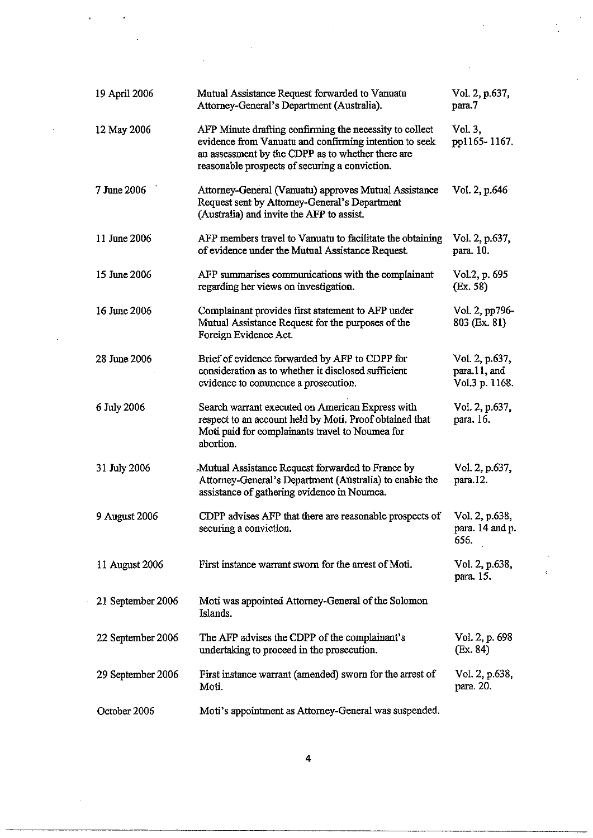| 19 April 2006     | Mutual Assistance Request forwarded to Vanuatu<br>Attorney-General's Department (Australia).                                                                                                                             | Vol. 2, p.637,<br>para.7                         |
|-------------------|--------------------------------------------------------------------------------------------------------------------------------------------------------------------------------------------------------------------------|--------------------------------------------------|
| 12 May 2006       | AFP Minute drafting confirming the necessity to collect<br>evidence from Vanuatu and confirming intention to seek<br>an assessment by the CDPP as to whether there are<br>reasonable prospects of securing a conviction. | Vol. 3,<br>pp1165-1167.                          |
| 7 June 2006       | Attorney-General (Vanuatu) approves Mutual Assistance<br>Request sent by Attorney-General's Department<br>(Australia) and invite the AFP to assist.                                                                      | Vol. 2, p.646                                    |
| 11 June 2006      | AFP members travel to Vanuatu to facilitate the obtaining<br>of evidence under the Mutual Assistance Request.                                                                                                            | Vol. 2, p.637,<br>para. 10.                      |
| 15 June 2006      | AFP summarises communications with the complainant<br>regarding her views on investigation.                                                                                                                              | Vol.2, p. 695<br>(Ex. 58)                        |
| 16 June 2006      | Complainant provides first statement to AFP under<br>Mutual Assistance Request for the purposes of the<br>Foreign Evidence Act.                                                                                          | Vol. 2, pp796-<br>803 (Ex. 81)                   |
| 28 June 2006      | Brief of evidence forwarded by AFP to CDPP for<br>consideration as to whether it disclosed sufficient<br>evidence to commence a prosecution.                                                                             | Vol. 2, p.637,<br>para.11, and<br>Vol.3 p. 1168. |
| 6 July 2006       | Search warrant executed on American Express with<br>respect to an account held by Moti. Proof obtained that<br>Moti paid for complainants travel to Noumea for<br>abortion.                                              | Vol. 2, p.637,<br>para. 16.                      |
| 31 July 2006      | Mutual Assistance Request forwarded to France by<br>Attorney-General's Department (Aŭstralia) to enable the<br>assistance of gathering evidence in Noumea.                                                               | Vol. 2, p.637,<br>para.12.                       |
| 9 August 2006     | CDPP advises AFP that there are reasonable prospects of<br>securing a conviction.                                                                                                                                        | Vol. 2, p.638,<br>para. 14 and p.<br>656.        |
| 11 August 2006    | First instance warrant sworn for the arrest of Moti.                                                                                                                                                                     | Vol. 2, p.638,<br>para. 15.                      |
| 21 September 2006 | Moti was appointed Attorney-General of the Solomon<br>Islands.                                                                                                                                                           |                                                  |
| 22 September 2006 | The AFP advises the CDPP of the complainant's<br>undertaking to proceed in the prosecution.                                                                                                                              | Vol. 2, p. 698<br>(Ex. 84)                       |
| 29 September 2006 | First instance warrant (amended) sworn for the arrest of<br>Moti.                                                                                                                                                        | Vol. 2, p.638,<br>para. 20.                      |
| October 2006      | Moti's appointment as Attorney-General was suspended.                                                                                                                                                                    |                                                  |

 $\mathcal{L}_{\text{max}}(\mathcal{L}_{\text{max}})$ 

 $\hat{\mathcal{L}}$ 

 $\langle \cdot \rangle$ 

 $\frac{1}{2}$ 

 $\frac{1}{2}$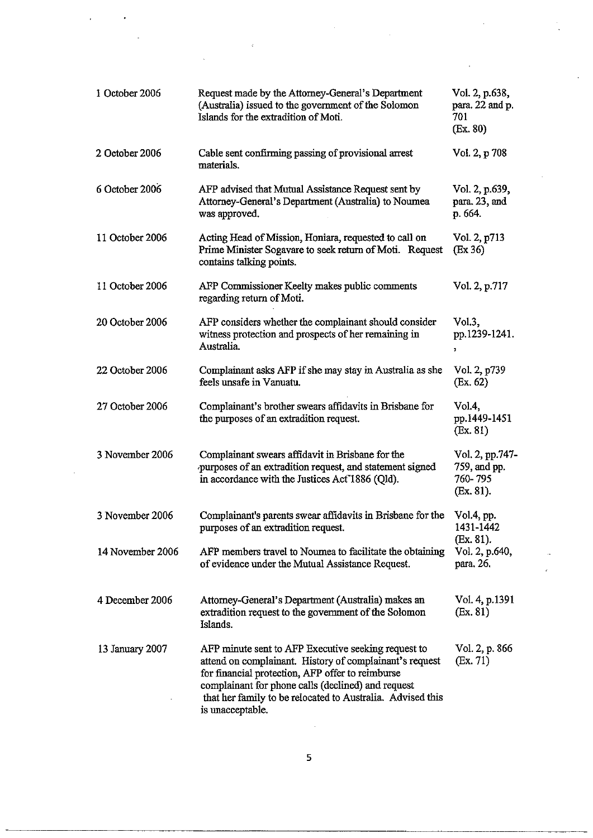| 1 October 2006   | Request made by the Attorney-General's Department<br>(Australia) issued to the government of the Solomon<br>Islands for the extradition of Moti.                                                                                                                                                           | Vol. 2, p.638,<br>para. 22 and p.<br>701<br>(Ex. 80)    |
|------------------|------------------------------------------------------------------------------------------------------------------------------------------------------------------------------------------------------------------------------------------------------------------------------------------------------------|---------------------------------------------------------|
| 2 October 2006   | Cable sent confirming passing of provisional arrest<br>materials.                                                                                                                                                                                                                                          | Vol. 2, p 708                                           |
| 6 October 2006   | AFP advised that Mutual Assistance Request sent by<br>Attorney-General's Department (Australia) to Noumea<br>was approved.                                                                                                                                                                                 | Vol. 2, p.639,<br>para. 23, and<br>p. 664.              |
| 11 October 2006  | Acting Head of Mission, Honiara, requested to call on<br>Prime Minister Sogavare to seek return of Moti. Request<br>contains talking points.                                                                                                                                                               | Vol. 2, p713<br>$\left(\text{Ex } 36\right)$            |
| 11 October 2006  | AFP Commissioner Keelty makes public comments<br>regarding return of Moti.                                                                                                                                                                                                                                 | Vol. 2, p.717                                           |
| 20 October 2006  | AFP considers whether the complainant should consider<br>witness protection and prospects of her remaining in<br>Australia.                                                                                                                                                                                | Vol.3,<br>pp.1239-1241.<br>$\overline{\phantom{a}}$     |
| 22 October 2006  | Complainant asks AFP if she may stay in Australia as she<br>feels unsafe in Vanuatu.                                                                                                                                                                                                                       | Vol. 2, p739<br>(Ex. 62)                                |
| 27 October 2006  | Complainant's brother swears affidavits in Brisbane for<br>the purposes of an extradition request.                                                                                                                                                                                                         | Vol.4,<br>pp.1449-1451<br>(Ex. 81)                      |
| 3 November 2006  | Complainant swears affidavit in Brisbane for the<br>purposes of an extradition request, and statement signed<br>in accordance with the Justices Act <sup>*</sup> 1886 (Qld).                                                                                                                               | Vol. 2, pp.747-<br>759, and pp.<br>760-795<br>(Ex. 81). |
| 3 November 2006  | Complainant's parents swear affidavits in Brisbane for the<br>purposes of an extradition request.                                                                                                                                                                                                          | Vol.4, pp.<br>1431-1442<br>$(Ex. 81)$ .                 |
| 14 November 2006 | AFP members travel to Noumea to facilitate the obtaining<br>of evidence under the Mutual Assistance Request.                                                                                                                                                                                               | Vol. 2, p.640,<br>para. 26.                             |
| 4 December 2006  | Attorney-General's Department (Australia) makes an<br>extradition request to the government of the Solomon<br>Islands.                                                                                                                                                                                     | Vol. 4, p.1391<br>(Ex. 81)                              |
| 13 January 2007  | AFP minute sent to AFP Executive seeking request to<br>attend on complainant. History of complainant's request<br>for financial protection, AFP offer to reimburse<br>complainant for phone calls (declined) and request<br>that her family to be relocated to Australia. Advised this<br>is unacceptable. | Vol. 2, p. 866<br>(Ex. 71)                              |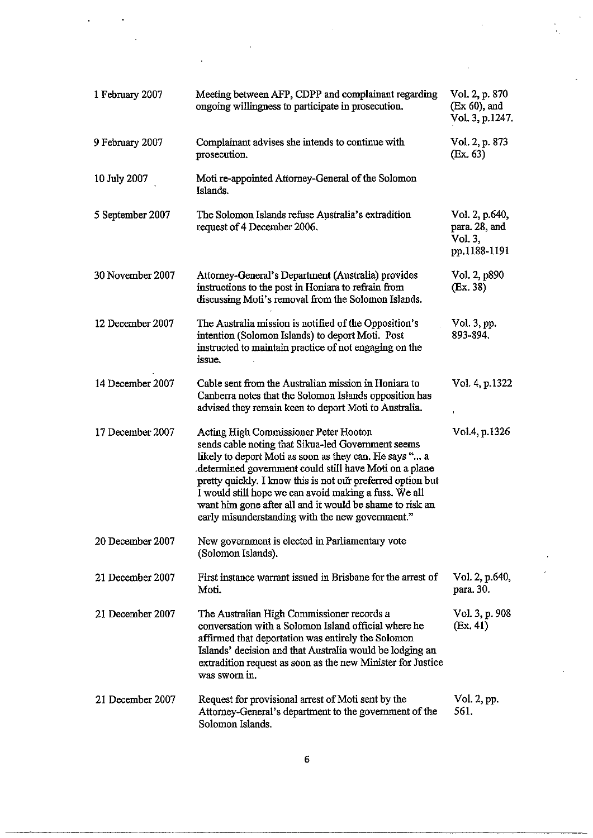| 1 February 2007  | Meeting between AFP, CDPP and complainant regarding<br>ongoing willingness to participate in prosecution.                                                                                                                                                                                                                                                                                                                                                | Vol. 2, p. 870<br>(Ex 60), and<br>Vol. 3, p.1247.          |
|------------------|----------------------------------------------------------------------------------------------------------------------------------------------------------------------------------------------------------------------------------------------------------------------------------------------------------------------------------------------------------------------------------------------------------------------------------------------------------|------------------------------------------------------------|
| 9 February 2007  | Complainant advises she intends to continue with<br>prosecution.                                                                                                                                                                                                                                                                                                                                                                                         | Vol. 2, p. 873<br>(Ex. 63)                                 |
| 10 July 2007     | Moti re-appointed Attorney-General of the Solomon<br>Islands.                                                                                                                                                                                                                                                                                                                                                                                            |                                                            |
| 5 September 2007 | The Solomon Islands refuse Australia's extradition<br>request of 4 December 2006.                                                                                                                                                                                                                                                                                                                                                                        | Vol. 2, p.640,<br>para. 28, and<br>Vol. 3,<br>pp.1188-1191 |
| 30 November 2007 | Attorney-General's Department (Australia) provides<br>instructions to the post in Honiara to refrain from<br>discussing Moti's removal from the Solomon Islands.                                                                                                                                                                                                                                                                                         | Vol. 2, p890<br>(Ex. 38)                                   |
| 12 December 2007 | The Australia mission is notified of the Opposition's<br>intention (Solomon Islands) to deport Moti. Post<br>instructed to maintain practice of not engaging on the<br>issue.                                                                                                                                                                                                                                                                            | Vol. 3, pp.<br>893-894.                                    |
| 14 December 2007 | Cable sent from the Australian mission in Honiara to<br>Canberra notes that the Solomon Islands opposition has<br>advised they remain keen to deport Moti to Australia.                                                                                                                                                                                                                                                                                  | Vol. 4, p.1322                                             |
| 17 December 2007 | Acting High Commissioner Peter Hooton<br>sends cable noting that Sikua-led Government seems<br>likely to deport Moti as soon as they can. He says " a<br>determined government could still have Moti on a plane.<br>pretty quickly. I know this is not our preferred option but<br>I would still hope we can avoid making a fuss. We all<br>want him gone after all and it would be shame to risk an<br>early misunderstanding with the new government." | Vol.4, p.1326                                              |
| 20 December 2007 | New government is elected in Parliamentary vote<br>(Solomon Islands).                                                                                                                                                                                                                                                                                                                                                                                    |                                                            |
| 21 December 2007 | First instance warrant issued in Brisbane for the arrest of<br>Moti.                                                                                                                                                                                                                                                                                                                                                                                     | Vol. 2, p.640,<br>para. 30.                                |
| 21 December 2007 | The Australian High Commissioner records a<br>conversation with a Solomon Island official where he<br>affirmed that deportation was entirely the Solomon<br>Islands' decision and that Australia would be lodging an<br>extradition request as soon as the new Minister for Justice<br>was sworn in.                                                                                                                                                     | Vol. 3, p. 908<br>(Ex. 41)                                 |
| 21 December 2007 | Request for provisional arrest of Moti sent by the<br>Attorney-General's department to the government of the<br>Solomon Islands.                                                                                                                                                                                                                                                                                                                         | Vol. 2, pp.<br>561.                                        |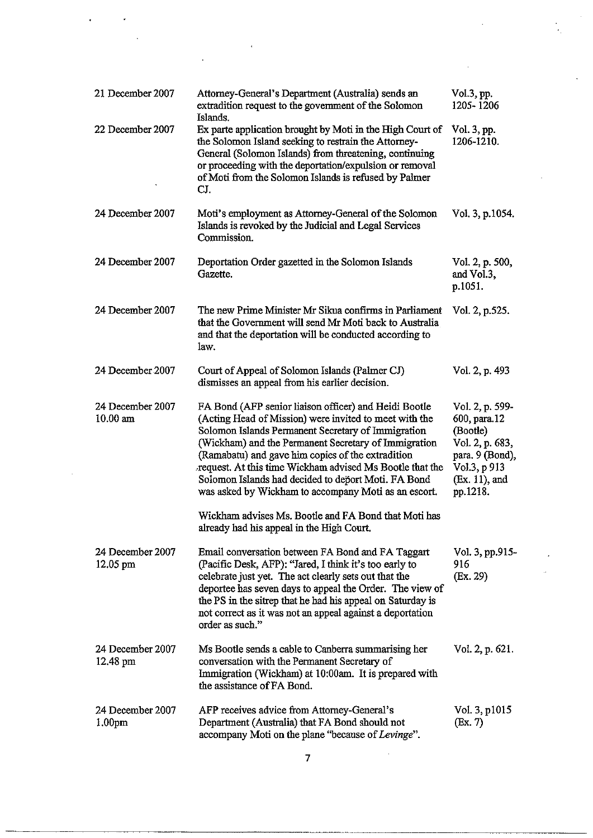| 21 December 2007                       | Attorney-General's Department (Australia) sends an<br>extradition request to the government of the Solomon<br>Islands.                                                                                                                                                                                                                                                                                                                                        | Vol.3, pp.<br>1205-1206                                                                                                        |
|----------------------------------------|---------------------------------------------------------------------------------------------------------------------------------------------------------------------------------------------------------------------------------------------------------------------------------------------------------------------------------------------------------------------------------------------------------------------------------------------------------------|--------------------------------------------------------------------------------------------------------------------------------|
| 22 December 2007                       | Ex parte application brought by Moti in the High Court of<br>the Solomon Island seeking to restrain the Attorney-<br>General (Solomon Islands) from threatening, continuing<br>or proceeding with the deportation/expulsion or removal<br>of Moti from the Solomon Islands is refused by Palmer<br>CJ.                                                                                                                                                        | Vol. 3, pp.<br>1206-1210.                                                                                                      |
| 24 December 2007                       | Moti's employment as Attorney-General of the Solomon<br>Islands is revoked by the Judicial and Legal Services<br>Commission.                                                                                                                                                                                                                                                                                                                                  | Vol. 3, p.1054.                                                                                                                |
| 24 December 2007                       | Deportation Order gazetted in the Solomon Islands<br>Gazette.                                                                                                                                                                                                                                                                                                                                                                                                 | Vol. 2, p. 500,<br>and Vol.3,<br>p.1051.                                                                                       |
| 24 December 2007                       | The new Prime Minister Mr Sikua confirms in Parliament<br>that the Government will send Mr Moti back to Australia<br>and that the deportation will be conducted according to<br>law.                                                                                                                                                                                                                                                                          | Vol. 2, p.525.                                                                                                                 |
| 24 December 2007                       | Court of Appeal of Solomon Islands (Palmer CJ)<br>dismisses an appeal from his earlier decision.                                                                                                                                                                                                                                                                                                                                                              | Vol. 2, p. 493                                                                                                                 |
| 24 December 2007<br>$10.00$ am         | FA Bond (AFP senior liaison officer) and Heidi Bootle<br>(Acting Head of Mission) were invited to meet with the<br>Solomon Islands Permanent Secretary of Immigration<br>(Wickham) and the Permanent Secretary of Immigration<br>(Ramabatu) and gave him copies of the extradition<br>request. At this time Wickham advised Ms Bootle that the<br>Solomon Islands had decided to deport Moti. FA Bond<br>was asked by Wickham to accompany Moti as an escort. | Vol. 2, p. 599-<br>600, para.12<br>(Bootle)<br>Vol. 2, p. 683,<br>para. 9 (Bond),<br>Vol.3, p 913<br>(Ex. 11), and<br>pp.1218. |
|                                        | Wickham advises Ms. Bootle and FA Bond that Moti has<br>already had his appeal in the High Court.                                                                                                                                                                                                                                                                                                                                                             |                                                                                                                                |
| 24 December 2007<br>12.05 pm           | Email conversation between FA Bond and FA Taggart<br>(Pacific Desk, AFP): "Jared, I think it's too early to<br>celebrate just yet. The act clearly sets out that the<br>deportee has seven days to appeal the Order. The view of<br>the PS in the sitrep that he had his appeal on Saturday is<br>not correct as it was not an appeal against a deportation<br>order as such."                                                                                | Vol. 3, pp.915-<br>916<br>(Ex. 29)                                                                                             |
| 24 December 2007<br>12.48 pm           | Ms Bootle sends a cable to Canberra summarising her<br>conversation with the Permanent Secretary of<br>Immigration (Wickham) at 10:00am. It is prepared with<br>the assistance of FA Bond.                                                                                                                                                                                                                                                                    | Vol. 2, p. 621.                                                                                                                |
| 24 December 2007<br>1.00 <sub>pm</sub> | AFP receives advice from Attorney-General's<br>Department (Australia) that FA Bond should not<br>accompany Moti on the plane "because of Levinge".                                                                                                                                                                                                                                                                                                            | Vol. 3, p1015<br>(Ex. 7)                                                                                                       |

 $\label{eq:2.1} \frac{1}{\sqrt{2\pi}}\int_{0}^{\infty}\frac{1}{\sqrt{2\pi}}\left(\frac{1}{\sqrt{2\pi}}\right)^{2\alpha} \frac{1}{\sqrt{2\pi}}\left(\frac{1}{\sqrt{2\pi}}\right)^{\alpha} \frac{1}{\sqrt{2\pi}}\left(\frac{1}{\sqrt{2\pi}}\right)^{\alpha} \frac{1}{\sqrt{2\pi}}\left(\frac{1}{\sqrt{2\pi}}\right)^{\alpha} \frac{1}{\sqrt{2\pi}}\left(\frac{1}{\sqrt{2\pi}}\right)^{\alpha} \frac{1}{\sqrt{2\pi}}\left(\frac{1}{\sqrt{2\pi}}\right$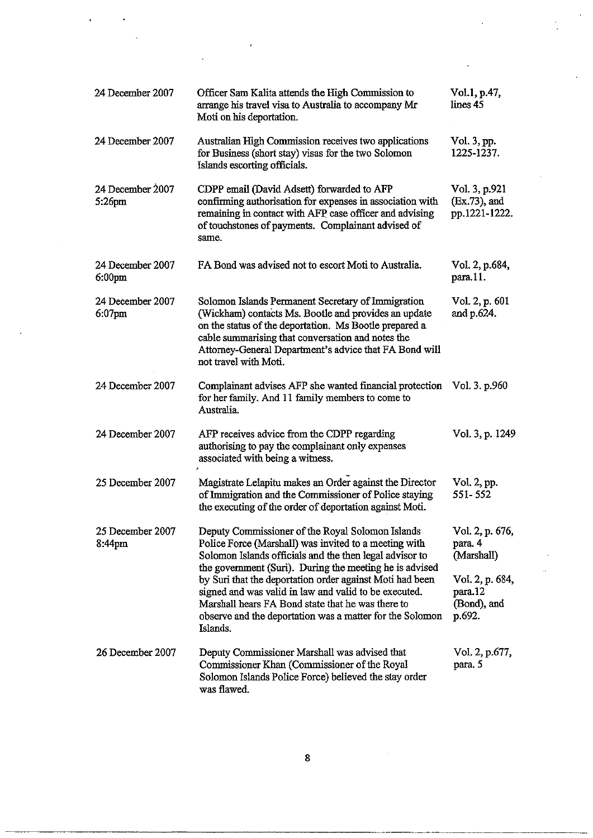| 24 December 2007                       | Officer Sam Kalita attends the High Commission to<br>arrange his travel visa to Australia to accompany Mr<br>Moti on his deportation.                                                                                                                                                                        | Vol.1, p.47,<br>lines 45                            |
|----------------------------------------|--------------------------------------------------------------------------------------------------------------------------------------------------------------------------------------------------------------------------------------------------------------------------------------------------------------|-----------------------------------------------------|
| 24 December 2007                       | Australian High Commission receives two applications<br>for Business (short stay) visas for the two Solomon<br>Islands escorting officials.                                                                                                                                                                  | Vol. 3, pp.<br>1225-1237.                           |
| 24 December 2007<br>5:26pm             | CDPP email (David Adsett) forwarded to AFP<br>confirming authorisation for expenses in association with<br>remaining in contact with AFP case officer and advising<br>of touchstones of payments. Complainant advised of<br>same.                                                                            | Vol. 3, p.921<br>$(Ex.73)$ , and<br>pp.1221-1222.   |
| 24 December 2007<br>6:00 <sub>pm</sub> | FA Bond was advised not to escort Moti to Australia.                                                                                                                                                                                                                                                         | Vol. 2, p.684,<br>para.11.                          |
| 24 December 2007<br>$6:07$ pm          | Solomon Islands Permanent Secretary of Immigration<br>(Wickham) contacts Ms. Bootle and provides an update<br>on the status of the deportation. Ms Bootle prepared a<br>cable summarising that conversation and notes the<br>Attorney-General Department's advice that FA Bond will<br>not travel with Moti. | Vol. 2, p. 601<br>and p.624.                        |
| 24 December 2007                       | Complainant advises AFP she wanted financial protection<br>for her family. And 11 family members to come to<br>Australia.                                                                                                                                                                                    | Vol. 3. p.960                                       |
| 24 December 2007                       | AFP receives advice from the CDPP regarding<br>authorising to pay the complainant only expenses<br>associated with being a witness.                                                                                                                                                                          | Vol. 3, p. 1249                                     |
| 25 December 2007                       | Magistrate Lelapitu makes an Order against the Director<br>of Immigration and the Commissioner of Police staying<br>the executing of the order of deportation against Moti.                                                                                                                                  | Vol. 2, pp.<br>551-552                              |
| 25 December 2007<br>8:44pm             | Deputy Commissioner of the Royal Solomon Islands<br>Police Force (Marshall) was invited to a meeting with<br>Solomon Islands officials and the then legal advisor to<br>the government (Suri). During the meeting he is advised                                                                              | Vol. 2, p. 676,<br>para. 4<br>(Marshall)            |
|                                        | by Suri that the deportation order against Moti had been<br>signed and was valid in law and valid to be executed.<br>Marshall hears FA Bond state that he was there to<br>observe and the deportation was a matter for the Solomon<br>Islands.                                                               | Vol. 2, p. 684,<br>para.12<br>(Bond), and<br>p.692. |
| 26 December 2007                       | Deputy Commissioner Marshall was advised that<br>Commissioner Khan (Commissioner of the Royal<br>Solomon Islands Police Force) believed the stay order<br>was flawed.                                                                                                                                        | Vol. 2, p.677,<br>para. 5                           |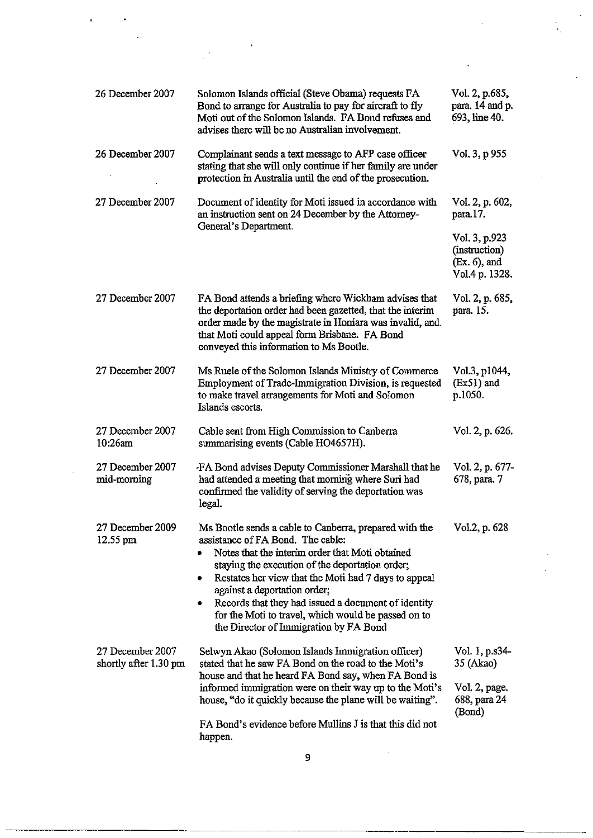| 26 December 2007                          | Solomon Islands official (Steve Obama) requests FA<br>Bond to arrange for Australia to pay for aircraft to fly<br>Moti out of the Solomon Islands. FA Bond refuses and<br>advises there will be no Australian involvement.                                                                                                                                                                                                                                  | Vol. 2, p.685,<br>para. 14 and p.<br>693, line 40.                  |
|-------------------------------------------|-------------------------------------------------------------------------------------------------------------------------------------------------------------------------------------------------------------------------------------------------------------------------------------------------------------------------------------------------------------------------------------------------------------------------------------------------------------|---------------------------------------------------------------------|
| 26 December 2007                          | Complainant sends a text message to AFP case officer<br>stating that she will only continue if her family are under<br>protection in Australia until the end of the prosecution.                                                                                                                                                                                                                                                                            | Vol. 3, p 955                                                       |
| 27 December 2007                          | Document of identity for Moti issued in accordance with<br>an instruction sent on 24 December by the Attorney-<br>General's Department.                                                                                                                                                                                                                                                                                                                     | Vol. 2, p. 602,<br>para.17.                                         |
|                                           |                                                                                                                                                                                                                                                                                                                                                                                                                                                             | Vol. 3, p.923<br>(instruction)<br>$(Ex. 6)$ , and<br>Vol.4 p. 1328. |
| 27 December 2007                          | FA Bond attends a briefing where Wickham advises that<br>the deportation order had been gazetted, that the interim<br>order made by the magistrate in Honiara was invalid, and<br>that Moti could appeal form Brisbane. FA Bond<br>conveyed this information to Ms Bootle.                                                                                                                                                                                  | Vol. 2, p. 685,<br>para. 15.                                        |
| 27 December 2007                          | Ms Ruele of the Solomon Islands Ministry of Commerce<br>Employment of Trade-Immigration Division, is requested<br>to make travel arrangements for Moti and Solomon<br>Islands escorts.                                                                                                                                                                                                                                                                      | Vol.3, p1044,<br>(Ex51) and<br>p.1050.                              |
| 27 December 2007<br>10:26am               | Cable sent from High Commission to Canberra<br>summarising events (Cable HO4657H).                                                                                                                                                                                                                                                                                                                                                                          | Vol. 2, p. 626.                                                     |
| 27 December 2007<br>mid-morning           | FA Bond advises Deputy Commissioner Marshall that he<br>had attended a meeting that morning where Suri had<br>confirmed the validity of serving the deportation was<br>legal.                                                                                                                                                                                                                                                                               | Vol. 2, p. 677-<br>678, para. 7                                     |
| 27 December 2009<br>$12.55$ pm            | Ms Bootle sends a cable to Canberra, prepared with the<br>assistance of FA Bond. The cable:<br>Notes that the interim order that Moti obtained<br>staying the execution of the deportation order;<br>Restates her view that the Moti had 7 days to appeal<br>۰<br>against a deportation order;<br>Records that they had issued a document of identity<br>۰<br>for the Moti to travel, which would be passed on to<br>the Director of Immigration by FA Bond | Vol.2, p. 628                                                       |
| 27 December 2007<br>shortly after 1.30 pm | Selwyn Akao (Solomon Islands Immigration officer)<br>stated that he saw FA Bond on the road to the Moti's<br>house and that he heard FA Bond say, when FA Bond is<br>informed immigration were on their way up to the Moti's<br>house, "do it quickly because the plane will be waiting".                                                                                                                                                                   | Vol. 1, p.s34-<br>35 (Akao)                                         |
|                                           |                                                                                                                                                                                                                                                                                                                                                                                                                                                             | Vol. 2, page.<br>688, para 24<br>(Bond)                             |
|                                           | FA Bond's evidence before Mullins J is that this did not<br>happen.                                                                                                                                                                                                                                                                                                                                                                                         |                                                                     |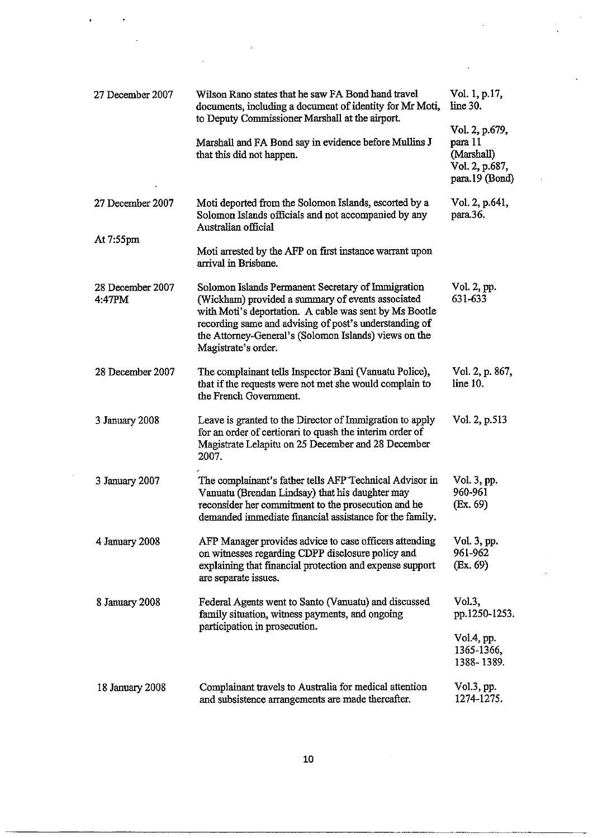| 27 December 2007           | Wilson Rano states that he saw FA Bond hand travel<br>documents, including a document of identity for Mr Moti,                                                                                                                                                                                              | Vol. 1, p.17,<br>line 30.                                                   |
|----------------------------|-------------------------------------------------------------------------------------------------------------------------------------------------------------------------------------------------------------------------------------------------------------------------------------------------------------|-----------------------------------------------------------------------------|
|                            | to Deputy Commissioner Marshall at the airport.<br>Marshall and FA Bond say in evidence before Mullins J<br>that this did not happen.                                                                                                                                                                       | Vol. 2, p.679,<br>para 11<br>(Marshall)<br>Vol. 2, p.687,<br>para.19 (Bond) |
| 27 December 2007           | Moti deported from the Solomon Islands, escorted by a<br>Solomon Islands officials and not accompanied by any<br>Australian official                                                                                                                                                                        | Vol. 2, p.641,<br>para.36.                                                  |
| At 7:55pm                  | Moti arrested by the AFP on first instance warrant upon<br>arrival in Brisbane.                                                                                                                                                                                                                             |                                                                             |
| 28 December 2007<br>4:47PM | Solomon Islands Permanent Secretary of Immigration<br>(Wickham) provided a summary of events associated<br>with Moti's deportation. A cable was sent by Ms Bootle<br>recording same and advising of post's understanding of<br>the Attorney-General's (Solomon Islands) views on the<br>Magistrate's order. | Vol. 2, pp.<br>631-633                                                      |
| 28 December 2007           | The complainant tells Inspector Bani (Vanuatu Police),<br>that if the requests were not met she would complain to<br>the French Government.                                                                                                                                                                 | Vol. 2, p. 867,<br>line 10.                                                 |
| 3 January 2008             | Leave is granted to the Director of Immigration to apply<br>for an order of certiorari to quash the interim order of<br>Magistrate Lelapitu on 25 December and 28 December<br>2007.                                                                                                                         | Vol. 2, p.513                                                               |
| 3 January 2007             | The complainant's father tells AFP Technical Advisor in<br>Vanuatu (Brendan Lindsay) that his daughter may<br>reconsider her commitment to the prosecution and he<br>demanded immediate financial assistance for the family.                                                                                | Vol. 3, pp.<br>960-961<br>(Ex. 69)                                          |
| 4 January 2008             | AFP Manager provides advice to case officers attending<br>on witnesses regarding CDPP disclosure policy and<br>explaining that financial protection and expense support<br>are separate issues.                                                                                                             | Vol. 3, pp.<br>961-962<br>(Ex. 69)                                          |
| 8 January 2008             | Federal Agents went to Santo (Vanuatu) and discussed<br>family situation, witness payments, and ongoing<br>participation in prosecution.                                                                                                                                                                    | Vol.3,<br>pp.1250-1253.<br>Vol.4, pp.<br>1365-1366,<br>1388-1389.           |
| 18 January 2008            | Complainant travels to Australia for medical attention<br>and subsistence arrangements are made thereafter.                                                                                                                                                                                                 | $Vol.3$ , pp.<br>1274-1275.                                                 |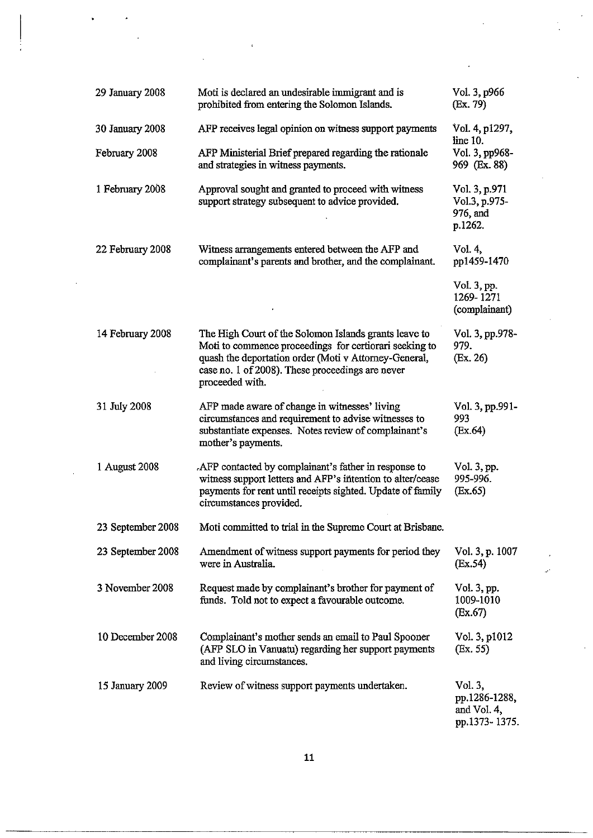| 29 January 2008   | Moti is declared an undesirable immigrant and is<br>prohibited from entering the Solomon Islands.                                                                                                                                               | Vol. 3, p966<br>(Ex. 79)                                 |
|-------------------|-------------------------------------------------------------------------------------------------------------------------------------------------------------------------------------------------------------------------------------------------|----------------------------------------------------------|
| 30 January 2008   | AFP receives legal opinion on witness support payments                                                                                                                                                                                          | Vol. 4, p1297,<br>line 10.                               |
| February 2008     | AFP Ministerial Brief prepared regarding the rationale<br>and strategies in witness payments.                                                                                                                                                   | Vol. 3, pp968-<br>969 (Ex. 88)                           |
| 1 February 2008   | Approval sought and granted to proceed with witness<br>support strategy subsequent to advice provided.                                                                                                                                          | Vol. 3, p.971<br>Vol.3, p.975-<br>976, and<br>p.1262.    |
| 22 February 2008  | Witness arrangements entered between the AFP and<br>complainant's parents and brother, and the complainant.                                                                                                                                     | Vol. 4,<br>pp1459-1470                                   |
|                   |                                                                                                                                                                                                                                                 | Vol. 3, pp.<br>1269-1271<br>(complainant)                |
| 14 February 2008  | The High Court of the Solomon Islands grants leave to<br>Moti to commence proceedings for certiorari seeking to<br>quash the deportation order (Moti v Attorney-General,<br>case no. 1 of 2008). These proceedings are never<br>proceeded with. | Vol. 3, pp.978-<br>979.<br>(Ex. 26)                      |
| 31 July 2008      | AFP made aware of change in witnesses' living<br>circumstances and requirement to advise witnesses to<br>substantiate expenses. Notes review of complainant's<br>mother's payments.                                                             | Vol. 3, pp.991-<br>993<br>(Ex.64)                        |
| 1 August 2008     | AFP contacted by complainant's father in response to<br>witness support letters and AFP's intention to alter/cease<br>payments for rent until receipts sighted. Update of family<br>circumstances provided.                                     | Vol. 3, pp.<br>995-996.<br>(Ex.65)                       |
| 23 September 2008 | Moti committed to trial in the Supreme Court at Brisbane.                                                                                                                                                                                       |                                                          |
| 23 September 2008 | Amendment of witness support payments for period they<br>were in Australia.                                                                                                                                                                     | Vol. 3, p. 1007<br>(Ex.54)                               |
| 3 November 2008   | Request made by complainant's brother for payment of<br>funds. Told not to expect a favourable outcome.                                                                                                                                         | Vol. 3, pp.<br>1009-1010<br>(EX.67)                      |
| 10 December 2008  | Complainant's mother sends an email to Paul Spooner<br>(AFP SLO in Vanuatu) regarding her support payments<br>and living circumstances.                                                                                                         | Vol. 3, p1012<br>(Ex. 55)                                |
| 15 January 2009   | Review of witness support payments undertaken.                                                                                                                                                                                                  | Vol. 3,<br>pp.1286-1288,<br>and Vol. 4,<br>pp.1373-1375. |